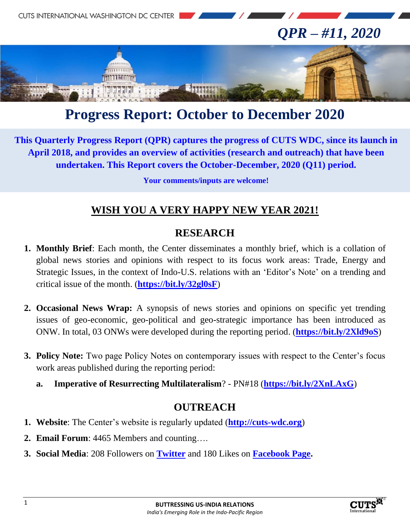

# **Progress Report: October to December 2020**

**This Quarterly Progress Report (QPR) captures the progress of CUTS WDC, since its launch in April 2018, and provides an overview of activities (research and outreach) that have been undertaken. This Report covers the October-December, 2020 (Q11) period.**

**Your comments/inputs are welcome!**

## **WISH YOU A VERY HAPPY NEW YEAR 2021!**

#### **RESEARCH**

- **1. Monthly Brief**: Each month, the Center disseminates a monthly brief, which is a collation of global news stories and opinions with respect to its focus work areas: Trade, Energy and Strategic Issues, in the context of Indo-U.S. relations with an 'Editor's Note' on a trending and critical issue of the month. (**<https://bit.ly/32gl0sF>**)
- **2. Occasional News Wrap:** A synopsis of news stories and opinions on specific yet trending issues of geo-economic, geo-political and geo-strategic importance has been introduced as ONW. In total, 03 ONWs were developed during the reporting period. (**<https://bit.ly/2Xld9oS>**)
- **3. Policy Note:** Two page Policy Notes on contemporary issues with respect to the Center's focus work areas published during the reporting period:
	- **a. Imperative of Resurrecting Multilateralism**? PN#18 (**<https://bit.ly/2XnLAxG>**)

#### **OUTREACH**

- **1. Website**: The Center's website is regularly updated (**[http://cuts-wdc.org](http://cuts-wdc.org/)**)
- **2. Email Forum**: 4465 Members and counting….
- **3. Social Media**: 208 Followers on **[Twitter](https://twitter.com/cutswdc)** and 180 Likes on **[Facebook Page.](https://www.facebook.com/cutswdc)**